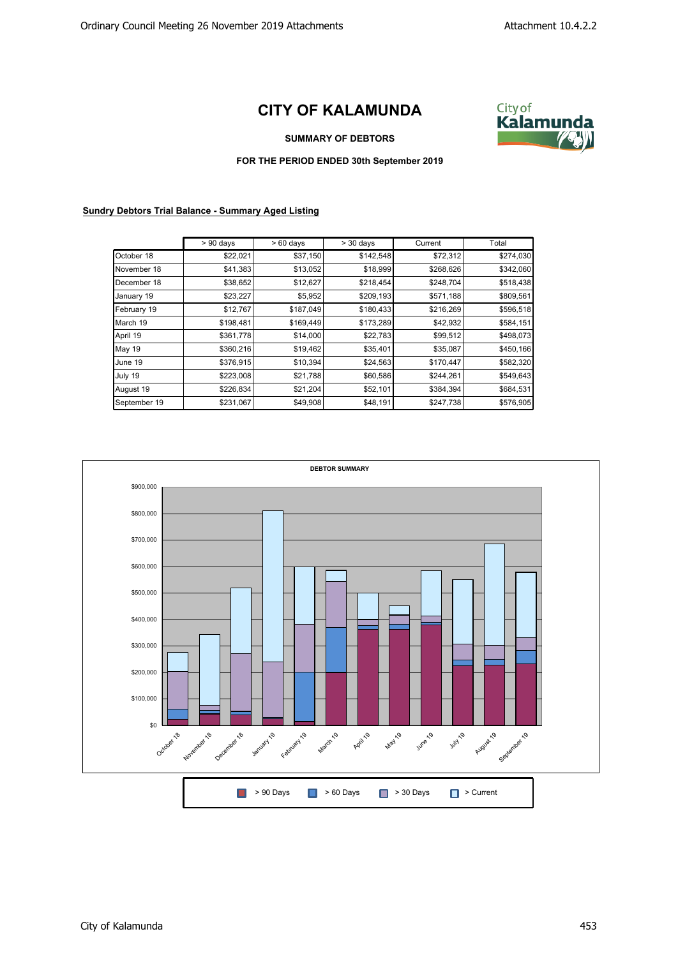## **CITY OF KALAMUNDA**



**SUMMARY OF DEBTORS**

**FOR THE PERIOD ENDED 30th September 2019**

## **Sundry Debtors Trial Balance - Summary Aged Listing**

|              | $> 90$ days | $>60$ days | $> 30$ days | Current   | Total     |
|--------------|-------------|------------|-------------|-----------|-----------|
| October 18   | \$22,021    | \$37,150   | \$142,548   | \$72,312  | \$274,030 |
| November 18  | \$41,383    | \$13,052   | \$18,999    | \$268,626 | \$342,060 |
| December 18  | \$38,652    | \$12,627   | \$218,454   | \$248,704 | \$518,438 |
| January 19   | \$23,227    | \$5,952    | \$209,193   | \$571,188 | \$809,561 |
| February 19  | \$12,767    | \$187,049  | \$180,433   | \$216,269 | \$596,518 |
| March 19     | \$198,481   | \$169,449  | \$173,289   | \$42,932  | \$584,151 |
| April 19     | \$361,778   | \$14,000   | \$22,783    | \$99,512  | \$498,073 |
| May 19       | \$360,216   | \$19,462   | \$35,401    | \$35,087  | \$450,166 |
| June 19      | \$376,915   | \$10,394   | \$24,563    | \$170,447 | \$582,320 |
| July 19      | \$223,008   | \$21,788   | \$60,586    | \$244,261 | \$549,643 |
| August 19    | \$226,834   | \$21,204   | \$52,101    | \$384,394 | \$684,531 |
| September 19 | \$231,067   | \$49,908   | \$48,191    | \$247,738 | \$576,905 |